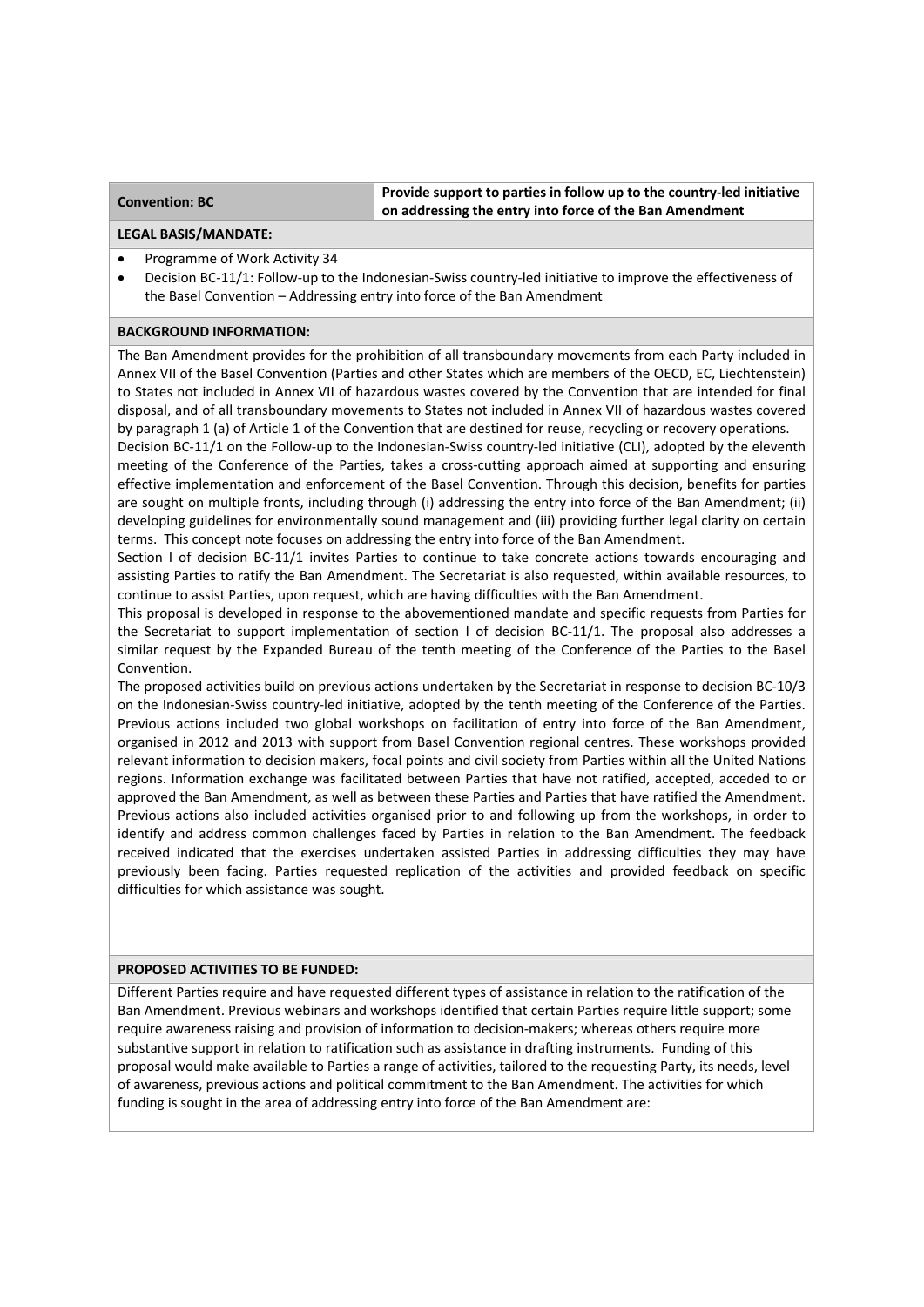**Convention: BC Provide support to parties in follow up to the country‐led initiative on addressing the entry into force of the Ban Amendment** 

#### **LEGAL BASIS/MANDATE:**

- Programme of Work Activity 34
- Decision BC-11/1: Follow-up to the Indonesian-Swiss country-led initiative to improve the effectiveness of the Basel Convention – Addressing entry into force of the Ban Amendment

## **BACKGROUND INFORMATION:**

The Ban Amendment provides for the prohibition of all transboundary movements from each Party included in Annex VII of the Basel Convention (Parties and other States which are members of the OECD, EC, Liechtenstein) to States not included in Annex VII of hazardous wastes covered by the Convention that are intended for final disposal, and of all transboundary movements to States not included in Annex VII of hazardous wastes covered by paragraph 1 (a) of Article 1 of the Convention that are destined for reuse, recycling or recovery operations.

Decision BC-11/1 on the Follow-up to the Indonesian-Swiss country-led initiative (CLI), adopted by the eleventh meeting of the Conference of the Parties, takes a cross-cutting approach aimed at supporting and ensuring effective implementation and enforcement of the Basel Convention. Through this decision, benefits for parties are sought on multiple fronts, including through (i) addressing the entry into force of the Ban Amendment; (ii) developing guidelines for environmentally sound management and (iii) providing further legal clarity on certain terms. This concept note focuses on addressing the entry into force of the Ban Amendment.

Section I of decision BC-11/1 invites Parties to continue to take concrete actions towards encouraging and assisting Parties to ratify the Ban Amendment. The Secretariat is also requested, within available resources, to continue to assist Parties, upon request, which are having difficulties with the Ban Amendment.

This proposal is developed in response to the abovementioned mandate and specific requests from Parties for the Secretariat to support implementation of section I of decision BC‐11/1. The proposal also addresses a similar request by the Expanded Bureau of the tenth meeting of the Conference of the Parties to the Basel Convention.

The proposed activities build on previous actions undertaken by the Secretariat in response to decision BC‐10/3 on the Indonesian‐Swiss country‐led initiative, adopted by the tenth meeting of the Conference of the Parties. Previous actions included two global workshops on facilitation of entry into force of the Ban Amendment, organised in 2012 and 2013 with support from Basel Convention regional centres. These workshops provided relevant information to decision makers, focal points and civil society from Parties within all the United Nations regions. Information exchange was facilitated between Parties that have not ratified, accepted, acceded to or approved the Ban Amendment, as well as between these Parties and Parties that have ratified the Amendment. Previous actions also included activities organised prior to and following up from the workshops, in order to identify and address common challenges faced by Parties in relation to the Ban Amendment. The feedback received indicated that the exercises undertaken assisted Parties in addressing difficulties they may have previously been facing. Parties requested replication of the activities and provided feedback on specific difficulties for which assistance was sought.

#### **PROPOSED ACTIVITIES TO BE FUNDED:**

Different Parties require and have requested different types of assistance in relation to the ratification of the Ban Amendment. Previous webinars and workshops identified that certain Parties require little support; some require awareness raising and provision of information to decision-makers; whereas others require more substantive support in relation to ratification such as assistance in drafting instruments. Funding of this proposal would make available to Parties a range of activities, tailored to the requesting Party, its needs, level of awareness, previous actions and political commitment to the Ban Amendment. The activities for which funding is sought in the area of addressing entry into force of the Ban Amendment are: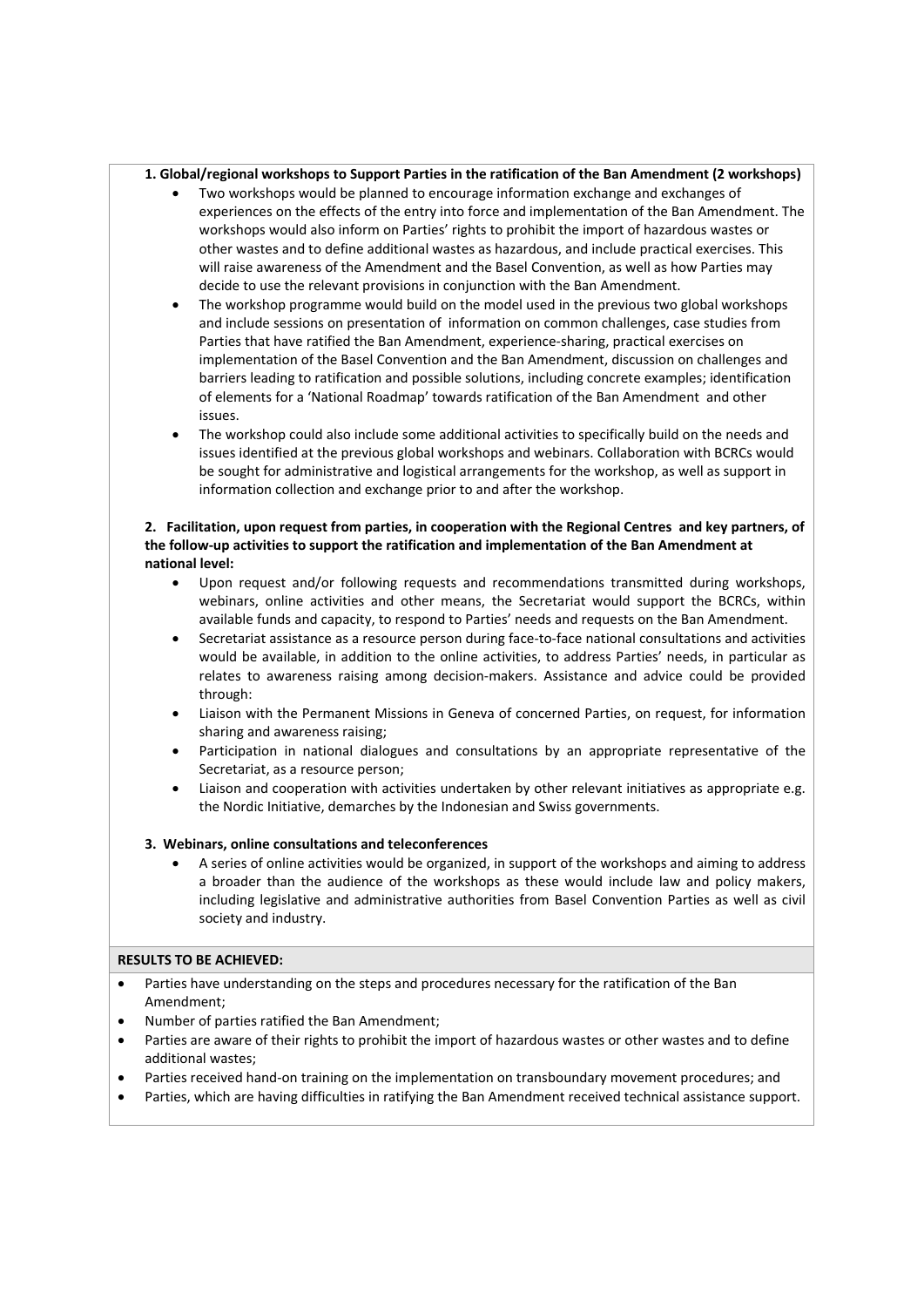## **1. Global/regional workshops to Support Parties in the ratification of the Ban Amendment (2 workshops)**

- Two workshops would be planned to encourage information exchange and exchanges of experiences on the effects of the entry into force and implementation of the Ban Amendment. The workshops would also inform on Parties' rights to prohibit the import of hazardous wastes or other wastes and to define additional wastes as hazardous, and include practical exercises. This will raise awareness of the Amendment and the Basel Convention, as well as how Parties may decide to use the relevant provisions in conjunction with the Ban Amendment.
- The workshop programme would build on the model used in the previous two global workshops and include sessions on presentation of information on common challenges, case studies from Parties that have ratified the Ban Amendment, experience‐sharing, practical exercises on implementation of the Basel Convention and the Ban Amendment, discussion on challenges and barriers leading to ratification and possible solutions, including concrete examples; identification of elements for a 'National Roadmap' towards ratification of the Ban Amendment and other issues.
- The workshop could also include some additional activities to specifically build on the needs and issues identified at the previous global workshops and webinars. Collaboration with BCRCs would be sought for administrative and logistical arrangements for the workshop, as well as support in information collection and exchange prior to and after the workshop.

# 2. Facilitation, upon request from parties, in cooperation with the Regional Centres and key partners, of **the follow‐up activities to support the ratification and implementation of the Ban Amendment at national level:**

- Upon request and/or following requests and recommendations transmitted during workshops, webinars, online activities and other means, the Secretariat would support the BCRCs, within available funds and capacity, to respond to Parties' needs and requests on the Ban Amendment.
- Secretariat assistance as a resource person during face‐to‐face national consultations and activities would be available, in addition to the online activities, to address Parties' needs, in particular as relates to awareness raising among decision-makers. Assistance and advice could be provided through:
- Liaison with the Permanent Missions in Geneva of concerned Parties, on request, for information sharing and awareness raising;
- Participation in national dialogues and consultations by an appropriate representative of the Secretariat, as a resource person;
- Liaison and cooperation with activities undertaken by other relevant initiatives as appropriate e.g. the Nordic Initiative, demarches by the Indonesian and Swiss governments.

# **3. Webinars, online consultations and teleconferences**

 A series of online activities would be organized, in support of the workshops and aiming to address a broader than the audience of the workshops as these would include law and policy makers, including legislative and administrative authorities from Basel Convention Parties as well as civil society and industry.

# **RESULTS TO BE ACHIEVED:**

- Parties have understanding on the steps and procedures necessary for the ratification of the Ban Amendment;
- Number of parties ratified the Ban Amendment;
- Parties are aware of their rights to prohibit the import of hazardous wastes or other wastes and to define additional wastes;
- Parties received hand‐on training on the implementation on transboundary movement procedures; and
- Parties, which are having difficulties in ratifying the Ban Amendment received technical assistance support.